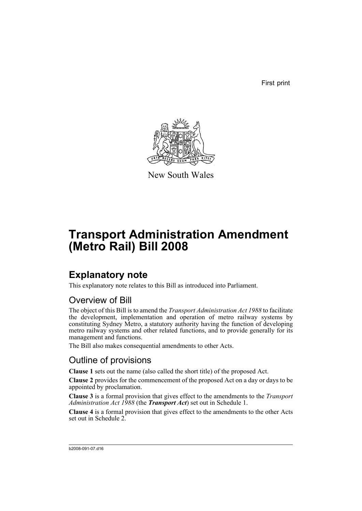First print



New South Wales

# **Transport Administration Amendment (Metro Rail) Bill 2008**

# **Explanatory note**

This explanatory note relates to this Bill as introduced into Parliament.

## Overview of Bill

The object of this Bill is to amend the *Transport Administration Act 1988* to facilitate the development, implementation and operation of metro railway systems by constituting Sydney Metro, a statutory authority having the function of developing metro railway systems and other related functions, and to provide generally for its management and functions.

The Bill also makes consequential amendments to other Acts.

## Outline of provisions

**Clause 1** sets out the name (also called the short title) of the proposed Act.

**Clause 2** provides for the commencement of the proposed Act on a day or days to be appointed by proclamation.

**Clause 3** is a formal provision that gives effect to the amendments to the *Transport Administration Act 1988* (the *Transport Act*) set out in Schedule 1.

**Clause 4** is a formal provision that gives effect to the amendments to the other Acts set out in Schedule 2.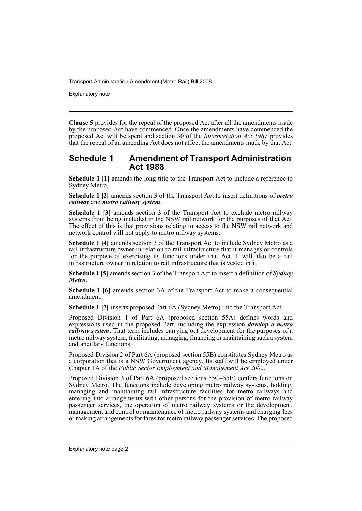Explanatory note

**Clause 5** provides for the repeal of the proposed Act after all the amendments made by the proposed Act have commenced. Once the amendments have commenced the proposed Act will be spent and section 30 of the *Interpretation Act 1987* provides that the repeal of an amending Act does not affect the amendments made by that Act.

### **Schedule 1 Amendment of Transport Administration Act 1988**

**Schedule 1 [1]** amends the long title to the Transport Act to include a reference to Sydney Metro.

**Schedule 1 [2]** amends section 3 of the Transport Act to insert definitions of *metro railway* and *metro railway system*.

**Schedule 1 [3]** amends section 3 of the Transport Act to exclude metro railway systems from being included in the NSW rail network for the purposes of that Act. The effect of this is that provisions relating to access to the NSW rail network and network control will not apply to metro railway systems.

**Schedule 1 [4]** amends section 3 of the Transport Act to include Sydney Metro as a rail infrastructure owner in relation to rail infrastructure that it manages or controls for the purpose of exercising its functions under that Act. It will also be a rail infrastructure owner in relation to rail infrastructure that is vested in it.

**Schedule 1 [5]** amends section 3 of the Transport Act to insert a definition of *Sydney Metro*.

**Schedule 1 [6]** amends section 3A of the Transport Act to make a consequential amendment.

**Schedule 1 [7]** inserts proposed Part 6A (Sydney Metro) into the Transport Act.

Proposed Division 1 of Part 6A (proposed section 55A) defines words and expressions used in the proposed Part, including the expression *develop a metro railway system*. That term includes carrying out development for the purposes of a metro railway system, facilitating, managing, financing or maintaining such a system and ancillary functions.

Proposed Division 2 of Part 6A (proposed section 55B) constitutes Sydney Metro as a corporation that is a NSW Government agency. Its staff will be employed under Chapter 1A of the *Public Sector Employment and Management Act 2002*.

Proposed Division 3 of Part 6A (proposed sections 55C–55E) confers functions on Sydney Metro. The functions include developing metro railway systems, holding, managing and maintaining rail infrastructure facilities for metro railways and entering into arrangements with other persons for the provision of metro railway passenger services, the operation of metro railway systems or the development, management and control or maintenance of metro railway systems and charging fees or making arrangements for fares for metro railway passenger services. The proposed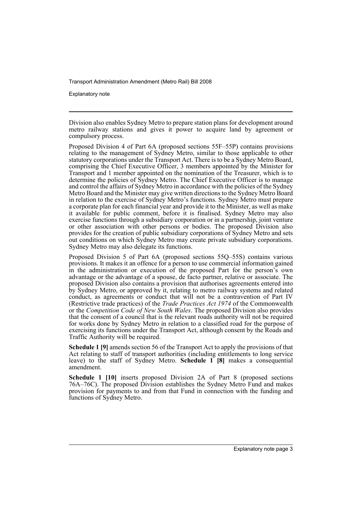Explanatory note

Division also enables Sydney Metro to prepare station plans for development around metro railway stations and gives it power to acquire land by agreement or compulsory process.

Proposed Division 4 of Part 6A (proposed sections 55F–55P) contains provisions relating to the management of Sydney Metro, similar to those applicable to other statutory corporations under the Transport Act. There is to be a Sydney Metro Board, comprising the Chief Executive Officer, 3 members appointed by the Minister for Transport and 1 member appointed on the nomination of the Treasurer, which is to determine the policies of Sydney Metro. The Chief Executive Officer is to manage and control the affairs of Sydney Metro in accordance with the policies of the Sydney Metro Board and the Minister may give written directions to the Sydney Metro Board in relation to the exercise of Sydney Metro's functions. Sydney Metro must prepare a corporate plan for each financial year and provide it to the Minister, as well as make it available for public comment, before it is finalised. Sydney Metro may also exercise functions through a subsidiary corporation or in a partnership, joint venture or other association with other persons or bodies. The proposed Division also provides for the creation of public subsidiary corporations of Sydney Metro and sets out conditions on which Sydney Metro may create private subsidiary corporations. Sydney Metro may also delegate its functions.

Proposed Division 5 of Part 6A (proposed sections 55Q–55S) contains various provisions. It makes it an offence for a person to use commercial information gained in the administration or execution of the proposed Part for the person's own advantage or the advantage of a spouse, de facto partner, relative or associate. The proposed Division also contains a provision that authorises agreements entered into by Sydney Metro, or approved by it, relating to metro railway systems and related conduct, as agreements or conduct that will not be a contravention of Part IV (Restrictive trade practices) of the *Trade Practices Act 1974* of the Commonwealth or the *Competition Code of New South Wales*. The proposed Division also provides that the consent of a council that is the relevant roads authority will not be required for works done by Sydney Metro in relation to a classified road for the purpose of exercising its functions under the Transport Act, although consent by the Roads and Traffic Authority will be required.

**Schedule 1 [9]** amends section 56 of the Transport Act to apply the provisions of that Act relating to staff of transport authorities (including entitlements to long service leave) to the staff of Sydney Metro. **Schedule 1 [8]** makes a consequential amendment.

**Schedule 1 [10]** inserts proposed Division 2A of Part 8 (proposed sections 76A–76C). The proposed Division establishes the Sydney Metro Fund and makes provision for payments to and from that Fund in connection with the funding and functions of Sydney Metro.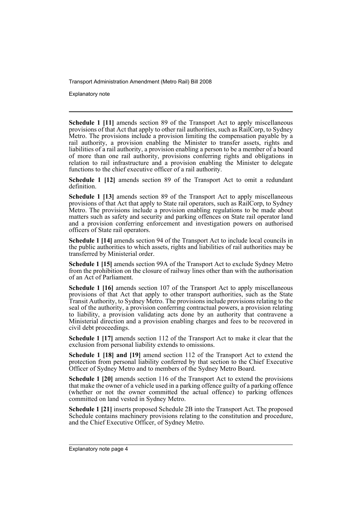Explanatory note

**Schedule 1 [11]** amends section 89 of the Transport Act to apply miscellaneous provisions of that Act that apply to other rail authorities, such as RailCorp, to Sydney Metro. The provisions include a provision limiting the compensation payable by a rail authority, a provision enabling the Minister to transfer assets, rights and liabilities of a rail authority, a provision enabling a person to be a member of a board of more than one rail authority, provisions conferring rights and obligations in relation to rail infrastructure and a provision enabling the Minister to delegate functions to the chief executive officer of a rail authority.

**Schedule 1 [12]** amends section 89 of the Transport Act to omit a redundant definition.

**Schedule 1 [13]** amends section 89 of the Transport Act to apply miscellaneous provisions of that Act that apply to State rail operators, such as RailCorp, to Sydney Metro. The provisions include a provision enabling regulations to be made about matters such as safety and security and parking offences on State rail operator land and a provision conferring enforcement and investigation powers on authorised officers of State rail operators.

**Schedule 1 [14]** amends section 94 of the Transport Act to include local councils in the public authorities to which assets, rights and liabilities of rail authorities may be transferred by Ministerial order.

**Schedule 1 [15]** amends section 99A of the Transport Act to exclude Sydney Metro from the prohibition on the closure of railway lines other than with the authorisation of an Act of Parliament.

**Schedule 1 [16]** amends section 107 of the Transport Act to apply miscellaneous provisions of that Act that apply to other transport authorities, such as the State Transit Authority, to Sydney Metro. The provisions include provisions relating to the seal of the authority, a provision conferring contractual powers, a provision relating to liability, a provision validating acts done by an authority that contravene a Ministerial direction and a provision enabling charges and fees to be recovered in civil debt proceedings.

**Schedule 1 [17]** amends section 112 of the Transport Act to make it clear that the exclusion from personal liability extends to omissions.

**Schedule 1 [18] and [19]** amend section 112 of the Transport Act to extend the protection from personal liability conferred by that section to the Chief Executive Officer of Sydney Metro and to members of the Sydney Metro Board.

**Schedule 1 [20]** amends section 116 of the Transport Act to extend the provisions that make the owner of a vehicle used in a parking offence guilty of a parking offence (whether or not the owner committed the actual offence) to parking offences committed on land vested in Sydney Metro.

**Schedule 1 [21]** inserts proposed Schedule 2B into the Transport Act. The proposed Schedule contains machinery provisions relating to the constitution and procedure, and the Chief Executive Officer, of Sydney Metro.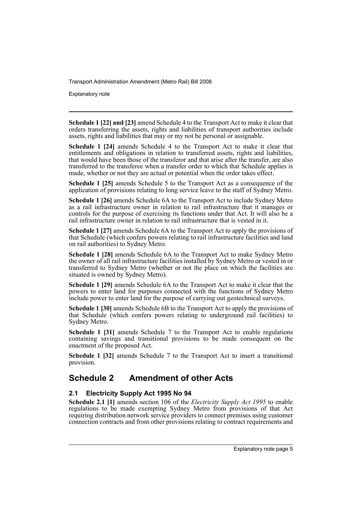Explanatory note

**Schedule 1 [22] and [23]** amend Schedule 4 to the Transport Act to make it clear that orders transferring the assets, rights and liabilities of transport authorities include assets, rights and liabilities that may or my not be personal or assignable.

**Schedule 1 [24]** amends Schedule 4 to the Transport Act to make it clear that entitlements and obligations in relation to transferred assets, rights and liabilities, that would have been those of the transferor and that arise after the transfer, are also transferred to the transferee when a transfer order to which that Schedule applies is made, whether or not they are actual or potential when the order takes effect.

**Schedule 1 [25]** amends Schedule 5 to the Transport Act as a consequence of the application of provisions relating to long service leave to the staff of Sydney Metro.

**Schedule 1 [26]** amends Schedule 6A to the Transport Act to include Sydney Metro as a rail infrastructure owner in relation to rail infrastructure that it manages or controls for the purpose of exercising its functions under that Act. It will also be a rail infrastructure owner in relation to rail infrastructure that is vested in it.

**Schedule 1 [27]** amends Schedule 6A to the Transport Act to apply the provisions of that Schedule (which confers powers relating to rail infrastructure facilities and land on rail authorities) to Sydney Metro.

**Schedule 1 [28]** amends Schedule 6A to the Transport Act to make Sydney Metro the owner of all rail infrastructure facilities installed by Sydney Metro or vested in or transferred to Sydney Metro (whether or not the place on which the facilities are situated is owned by Sydney Metro).

**Schedule 1 [29]** amends Schedule 6A to the Transport Act to make it clear that the powers to enter land for purposes connected with the functions of Sydney Metro include power to enter land for the purpose of carrying out geotechnical surveys.

**Schedule 1 [30]** amends Schedule 6B to the Transport Act to apply the provisions of that Schedule (which confers powers relating to underground rail facilities) to Sydney Metro.

**Schedule 1 [31]** amends Schedule 7 to the Transport Act to enable regulations containing savings and transitional provisions to be made consequent on the enactment of the proposed Act.

**Schedule 1 [32]** amends Schedule 7 to the Transport Act to insert a transitional provision.

## **Schedule 2 Amendment of other Acts**

#### **2.1 Electricity Supply Act 1995 No 94**

**Schedule 2.1 [1]** amends section 106 of the *Electricity Supply Act 1995* to enable regulations to be made exempting Sydney Metro from provisions of that Act requiring distribution network service providers to connect premises using customer connection contracts and from other provisions relating to contract requirements and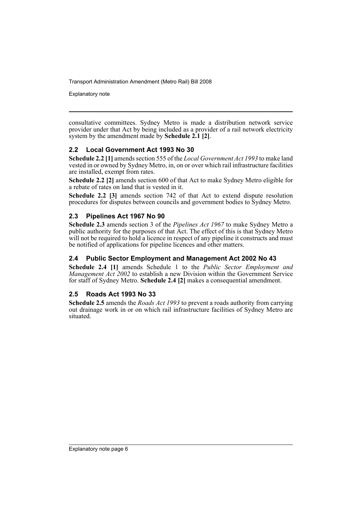Explanatory note

consultative committees. Sydney Metro is made a distribution network service provider under that Act by being included as a provider of a rail network electricity system by the amendment made by **Schedule 2.1 [2]**.

#### **2.2 Local Government Act 1993 No 30**

**Schedule 2.2 [1]** amends section 555 of the *Local Government Act 1993* to make land vested in or owned by Sydney Metro, in, on or over which rail infrastructure facilities are installed, exempt from rates.

**Schedule 2.2 [2]** amends section 600 of that Act to make Sydney Metro eligible for a rebate of rates on land that is vested in it.

**Schedule 2.2 [3]** amends section 742 of that Act to extend dispute resolution procedures for disputes between councils and government bodies to Sydney Metro.

#### **2.3 Pipelines Act 1967 No 90**

**Schedule 2.3** amends section 3 of the *Pipelines Act 1967* to make Sydney Metro a public authority for the purposes of that Act. The effect of this is that Sydney Metro will not be required to hold a licence in respect of any pipeline it constructs and must be notified of applications for pipeline licences and other matters.

#### **2.4 Public Sector Employment and Management Act 2002 No 43**

**Schedule 2.4 [1]** amends Schedule 1 to the *Public Sector Employment and Management Act 2002* to establish a new Division within the Government Service for staff of Sydney Metro. **Schedule 2.4 [2]** makes a consequential amendment.

#### **2.5 Roads Act 1993 No 33**

**Schedule 2.5** amends the *Roads Act 1993* to prevent a roads authority from carrying out drainage work in or on which rail infrastructure facilities of Sydney Metro are situated.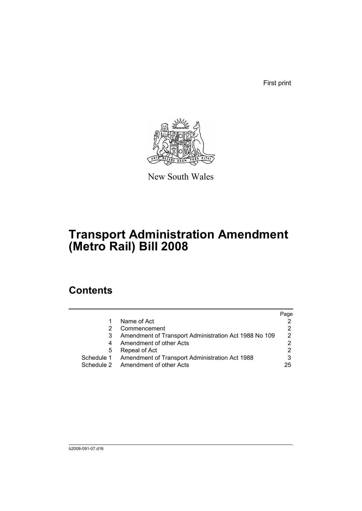First print



New South Wales

# **Transport Administration Amendment (Metro Rail) Bill 2008**

## **Contents**

|   |                                                           | Page |
|---|-----------------------------------------------------------|------|
|   | Name of Act                                               |      |
|   | Commencement                                              |      |
| 3 | Amendment of Transport Administration Act 1988 No 109     | 2    |
| 4 | Amendment of other Acts                                   |      |
| 5 | Repeal of Act                                             | 2    |
|   | Schedule 1 Amendment of Transport Administration Act 1988 |      |
|   | Schedule 2 Amendment of other Acts                        | 25   |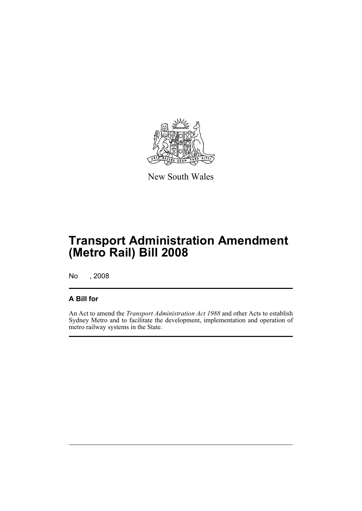

New South Wales

# **Transport Administration Amendment (Metro Rail) Bill 2008**

No , 2008

### **A Bill for**

An Act to amend the *Transport Administration Act 1988* and other Acts to establish Sydney Metro and to facilitate the development, implementation and operation of metro railway systems in the State.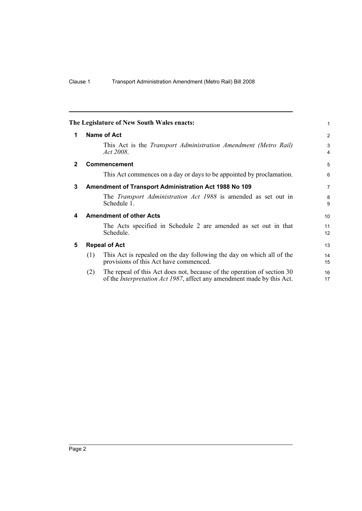<span id="page-9-4"></span><span id="page-9-3"></span><span id="page-9-2"></span><span id="page-9-1"></span><span id="page-9-0"></span>

|              |     | The Legislature of New South Wales enacts:                                                                                                                | 1                   |
|--------------|-----|-----------------------------------------------------------------------------------------------------------------------------------------------------------|---------------------|
| 1            |     | Name of Act                                                                                                                                               | 2                   |
|              |     | This Act is the <i>Transport Administration Amendment (Metro Rail)</i><br>Act 2008.                                                                       | 3<br>$\overline{4}$ |
| $\mathbf{2}$ |     | <b>Commencement</b>                                                                                                                                       | 5                   |
|              |     | This Act commences on a day or days to be appointed by proclamation.                                                                                      | 6                   |
| 3            |     | Amendment of Transport Administration Act 1988 No 109                                                                                                     | $\overline{7}$      |
|              |     | The <i>Transport Administration Act 1988</i> is amended as set out in<br>Schedule 1.                                                                      | 8<br>9              |
| 4            |     | <b>Amendment of other Acts</b>                                                                                                                            | 10                  |
|              |     | The Acts specified in Schedule 2 are amended as set out in that<br>Schedule.                                                                              | 11<br>12            |
| 5            |     | <b>Repeal of Act</b>                                                                                                                                      | 13                  |
|              | (1) | This Act is repealed on the day following the day on which all of the<br>provisions of this Act have commenced.                                           | 14<br>15            |
|              | (2) | The repeal of this Act does not, because of the operation of section 30<br>of the <i>Interpretation Act 1987</i> , affect any amendment made by this Act. | 16<br>17            |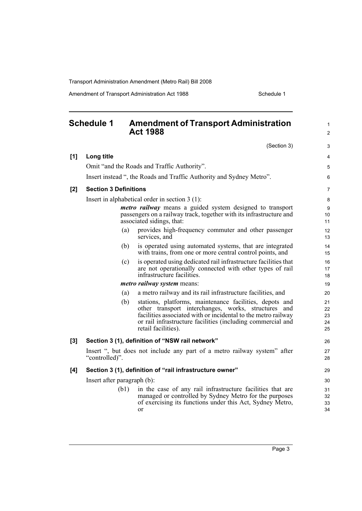Amendment of Transport Administration Act 1988 Schedule 1

<span id="page-10-0"></span>

|     | <b>Schedule 1</b>            | <b>Amendment of Transport Administration</b><br><b>Act 1988</b>                                                                                                                                                                                                       | 1<br>$\overline{2}$        |
|-----|------------------------------|-----------------------------------------------------------------------------------------------------------------------------------------------------------------------------------------------------------------------------------------------------------------------|----------------------------|
|     |                              | (Section 3)                                                                                                                                                                                                                                                           | 3                          |
| [1] | Long title                   |                                                                                                                                                                                                                                                                       | 4                          |
|     |                              | Omit "and the Roads and Traffic Authority".                                                                                                                                                                                                                           | 5                          |
|     |                              | Insert instead ", the Roads and Traffic Authority and Sydney Metro".                                                                                                                                                                                                  | 6                          |
| [2] | <b>Section 3 Definitions</b> |                                                                                                                                                                                                                                                                       | $\overline{7}$             |
|     |                              | Insert in alphabetical order in section $3(1)$ :                                                                                                                                                                                                                      | 8                          |
|     |                              | <i>metro railway</i> means a guided system designed to transport<br>passengers on a railway track, together with its infrastructure and<br>associated sidings, that:                                                                                                  | 9<br>10<br>11              |
|     | (a)                          | provides high-frequency commuter and other passenger<br>services, and                                                                                                                                                                                                 | 12<br>13                   |
|     | (b)                          | is operated using automated systems, that are integrated<br>with trains, from one or more central control points, and                                                                                                                                                 | 14<br>15                   |
|     | (c)                          | is operated using dedicated rail infrastructure facilities that<br>are not operationally connected with other types of rail<br>infrastructure facilities.                                                                                                             | 16<br>17<br>18             |
|     |                              | <i>metro railway system means:</i>                                                                                                                                                                                                                                    | 19                         |
|     | (a)                          | a metro railway and its rail infrastructure facilities, and                                                                                                                                                                                                           | 20                         |
|     | (b)                          | stations, platforms, maintenance facilities, depots and<br>other transport interchanges, works, structures and<br>facilities associated with or incidental to the metro railway<br>or rail infrastructure facilities (including commercial and<br>retail facilities). | 21<br>22<br>23<br>24<br>25 |
| [3] |                              | Section 3 (1), definition of "NSW rail network"                                                                                                                                                                                                                       | 26                         |
|     | "controlled)".               | Insert ", but does not include any part of a metro railway system" after                                                                                                                                                                                              | 27<br>28                   |
| [4] |                              | Section 3 (1), definition of "rail infrastructure owner"                                                                                                                                                                                                              | 29                         |
|     | Insert after paragraph (b):  |                                                                                                                                                                                                                                                                       | 30                         |
|     | (b1)                         | in the case of any rail infrastructure facilities that are<br>managed or controlled by Sydney Metro for the purposes<br>of exercising its functions under this Act, Sydney Metro,<br>or                                                                               | 31<br>32<br>33<br>34       |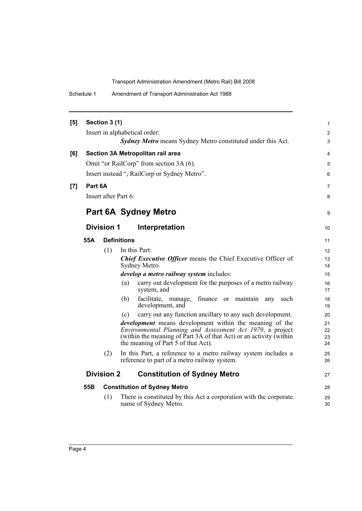| Schedule 1 | Amendment of Transport Administration Act 1988 |
|------------|------------------------------------------------|
|------------|------------------------------------------------|

| [5] |         | Section 3 (1)        |                                                                                                                             | 1                   |
|-----|---------|----------------------|-----------------------------------------------------------------------------------------------------------------------------|---------------------|
|     |         |                      | Insert in alphabetical order:<br><b>Sydney Metro</b> means Sydney Metro constituted under this Act.                         | $\overline{c}$<br>3 |
| [6] |         |                      | Section 3A Metropolitan rail area                                                                                           | 4                   |
|     |         |                      | Omit "or RailCorp" from section 3A (6).                                                                                     | 5                   |
|     |         |                      | Insert instead ", RailCorp or Sydney Metro".                                                                                | 6                   |
| [7] | Part 6A |                      |                                                                                                                             | 7                   |
|     |         | Insert after Part 6: |                                                                                                                             | 8                   |
|     |         |                      | <b>Part 6A Sydney Metro</b>                                                                                                 | 9                   |
|     |         | <b>Division 1</b>    | Interpretation                                                                                                              | 10                  |
|     | 55A     |                      | <b>Definitions</b>                                                                                                          | 11                  |
|     |         | (1)                  | In this Part:                                                                                                               | 12                  |
|     |         |                      | <b>Chief Executive Officer means the Chief Executive Officer of</b><br>Sydney Metro.                                        | 13<br>14            |
|     |         |                      | <i>develop a metro railway system includes:</i>                                                                             | 15                  |
|     |         |                      | carry out development for the purposes of a metro railway<br>(a)<br>system, and                                             | 16<br>17            |
|     |         |                      | facilitate, manage,<br>finance or<br>maintain any such<br>(b)<br>development, and                                           | 18<br>19            |
|     |         |                      | carry out any function ancillary to any such development.<br>(c)                                                            | 20                  |
|     |         |                      | <i>development</i> means development within the meaning of the<br>Environmental Planning and Assessment Act 1979, a project | 21<br>22            |
|     |         |                      | (within the meaning of Part 3A of that Act) or an activity (within<br>the meaning of Part 5 of that Act).                   | 23<br>24            |
|     |         | (2)                  | In this Part, a reference to a metro railway system includes a<br>reference to part of a metro railway system.              | 25<br>26            |
|     |         | <b>Division 2</b>    | <b>Constitution of Sydney Metro</b>                                                                                         | 27                  |
|     | 55B     |                      | <b>Constitution of Sydney Metro</b>                                                                                         | 28                  |
|     |         | (1)                  | There is constituted by this Act a corporation with the corporate<br>name of Sydney Metro.                                  | 29<br>30            |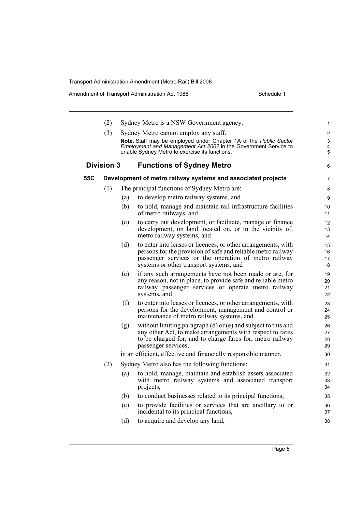|     | (2)               |     | Sydney Metro is a NSW Government agency.                                                                                                                                                                                                                                         | $\mathbf{1}$               |
|-----|-------------------|-----|----------------------------------------------------------------------------------------------------------------------------------------------------------------------------------------------------------------------------------------------------------------------------------|----------------------------|
|     | (3)               |     | Sydney Metro cannot employ any staff.                                                                                                                                                                                                                                            | 2                          |
|     |                   |     | Note. Staff may be employed under Chapter 1A of the Public Sector                                                                                                                                                                                                                | 3                          |
|     |                   |     | Employment and Management Act 2002 in the Government Service to<br>enable Sydney Metro to exercise its functions.                                                                                                                                                                | 4<br>5                     |
|     |                   |     |                                                                                                                                                                                                                                                                                  |                            |
|     | <b>Division 3</b> |     | <b>Functions of Sydney Metro</b>                                                                                                                                                                                                                                                 | 6                          |
| 55C |                   |     | Development of metro railway systems and associated projects                                                                                                                                                                                                                     | $\overline{7}$             |
|     | (1)               |     | The principal functions of Sydney Metro are:                                                                                                                                                                                                                                     | 8                          |
|     |                   | (a) | to develop metro railway systems, and                                                                                                                                                                                                                                            | 9                          |
|     |                   | (b) | to hold, manage and maintain rail infrastructure facilities<br>of metro railways, and                                                                                                                                                                                            | 10<br>11                   |
|     |                   | (c) | to carry out development, or facilitate, manage or finance<br>development, on land located on, or in the vicinity of,<br>metro railway systems, and                                                                                                                              | 12<br>13<br>14             |
|     |                   | (d) | to enter into leases or licences, or other arrangements, with<br>persons for the provision of safe and reliable metro railway<br>passenger services or the operation of metro railway<br>systems or other transport systems, and                                                 | 15<br>16<br>17<br>18       |
|     |                   | (e) | if any such arrangements have not been made or are, for<br>any reason, not in place, to provide safe and reliable metro<br>railway passenger services or operate metro railway<br>systems, and                                                                                   | 19<br>20<br>21<br>22       |
|     |                   | (f) | to enter into leases or licences, or other arrangements, with<br>persons for the development, management and control or<br>maintenance of metro railway systems, and                                                                                                             | 23<br>24<br>25             |
|     |                   | (g) | without limiting paragraph (d) or (e) and subject to this and<br>any other Act, to make arrangements with respect to fares<br>to be charged for, and to charge fares for, metro railway<br>passenger services,<br>in an efficient, effective and financially responsible manner. | 26<br>27<br>28<br>29<br>30 |
|     | (2)               |     | Sydney Metro also has the following functions:                                                                                                                                                                                                                                   | 31                         |
|     |                   | (a) | to hold, manage, maintain and establish assets associated<br>with metro railway systems and associated transport<br>projects,                                                                                                                                                    | 32<br>33<br>34             |
|     |                   | (b) | to conduct businesses related to its principal functions,                                                                                                                                                                                                                        | 35                         |
|     |                   | (c) | to provide facilities or services that are ancillary to or<br>incidental to its principal functions,                                                                                                                                                                             | 36<br>37                   |
|     |                   | (d) | to acquire and develop any land,                                                                                                                                                                                                                                                 | 38                         |
|     |                   |     |                                                                                                                                                                                                                                                                                  |                            |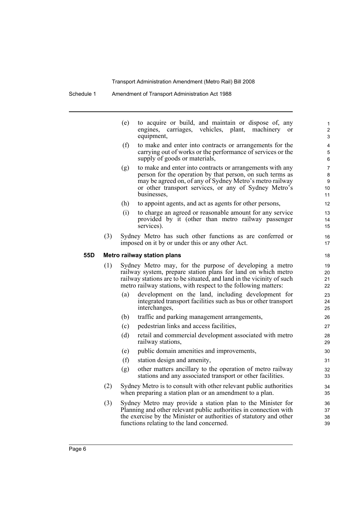|     |     | (e)                         | to acquire or build, and maintain or dispose of, any<br>engines, carriages,<br>vehicles, plant, machinery<br><sub>or</sub><br>equipment,                                                                                                                            | 1<br>$\overline{c}$<br>3 |  |  |
|-----|-----|-----------------------------|---------------------------------------------------------------------------------------------------------------------------------------------------------------------------------------------------------------------------------------------------------------------|--------------------------|--|--|
|     |     | (f)                         | to make and enter into contracts or arrangements for the<br>carrying out of works or the performance of services or the<br>supply of goods or materials,                                                                                                            | 4<br>5<br>6              |  |  |
|     |     | (g)                         | to make and enter into contracts or arrangements with any<br>person for the operation by that person, on such terms as<br>may be agreed on, of any of Sydney Metro's metro railway<br>or other transport services, or any of Sydney Metro's<br>businesses,          | 7<br>8<br>9<br>10<br>11  |  |  |
|     |     | (h)                         | to appoint agents, and act as agents for other persons,                                                                                                                                                                                                             | 12                       |  |  |
|     |     | (i)                         | to charge an agreed or reasonable amount for any service<br>provided by it (other than metro railway passenger<br>services).                                                                                                                                        | 13<br>14<br>15           |  |  |
|     | (3) |                             | Sydney Metro has such other functions as are conferred or<br>imposed on it by or under this or any other Act.                                                                                                                                                       | 16<br>17                 |  |  |
| 55D |     | Metro railway station plans |                                                                                                                                                                                                                                                                     |                          |  |  |
|     | (1) |                             | Sydney Metro may, for the purpose of developing a metro<br>railway system, prepare station plans for land on which metro<br>railway stations are to be situated, and land in the vicinity of such<br>metro railway stations, with respect to the following matters: | 19<br>20<br>21<br>22     |  |  |
|     |     | (a)                         | development on the land, including development for<br>integrated transport facilities such as bus or other transport<br>interchanges,                                                                                                                               | 23<br>24<br>25           |  |  |
|     |     | (b)                         | traffic and parking management arrangements,                                                                                                                                                                                                                        | 26                       |  |  |
|     |     | (c)                         | pedestrian links and access facilities,                                                                                                                                                                                                                             | 27                       |  |  |
|     |     | (d)                         | retail and commercial development associated with metro<br>railway stations,                                                                                                                                                                                        | 28<br>29                 |  |  |
|     |     | (e)                         | public domain amenities and improvements,                                                                                                                                                                                                                           | 30                       |  |  |
|     |     | (f)                         | station design and amenity,                                                                                                                                                                                                                                         | 31                       |  |  |
|     |     | (g)                         | other matters ancillary to the operation of metro railway<br>stations and any associated transport or other facilities.                                                                                                                                             | 32<br>33                 |  |  |
|     | (2) |                             | Sydney Metro is to consult with other relevant public authorities<br>when preparing a station plan or an amendment to a plan.                                                                                                                                       | 34<br>35                 |  |  |
|     | (3) |                             | Sydney Metro may provide a station plan to the Minister for<br>Planning and other relevant public authorities in connection with<br>the exercise by the Minister or authorities of statutory and other<br>functions relating to the land concerned.                 | 36<br>37<br>38<br>39     |  |  |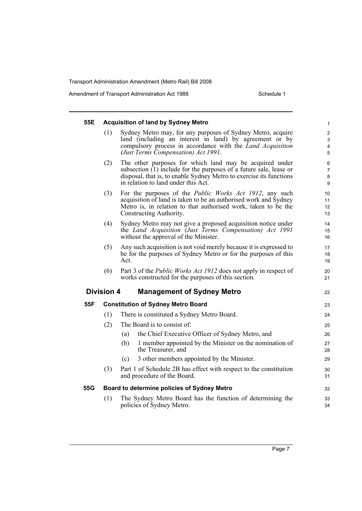Amendment of Transport Administration Act 1988 Schedule 1

| 55E |                   | <b>Acquisition of land by Sydney Metro</b>                                                                                                                                                                                                    | 1                             |
|-----|-------------------|-----------------------------------------------------------------------------------------------------------------------------------------------------------------------------------------------------------------------------------------------|-------------------------------|
|     | (1)               | Sydney Metro may, for any purposes of Sydney Metro, acquire<br>land (including an interest in land) by agreement or by<br>compulsory process in accordance with the Land Acquisition<br>(Just Terms Compensation) Act 1991.                   | $\overline{c}$<br>3<br>4<br>5 |
|     | (2)               | The other purposes for which land may be acquired under<br>subsection $(1)$ include for the purposes of a future sale, lease or<br>disposal, that is, to enable Sydney Metro to exercise its functions<br>in relation to land under this Act. | 6<br>7<br>8<br>9              |
|     | (3)               | For the purposes of the <i>Public Works Act 1912</i> , any such<br>acquisition of land is taken to be an authorised work and Sydney<br>Metro is, in relation to that authorised work, taken to be the<br>Constructing Authority.              | 10<br>11<br>12<br>13          |
|     | (4)               | Sydney Metro may not give a proposed acquisition notice under<br>the Land Acquisition (Just Terms Compensation) Act 1991<br>without the approval of the Minister.                                                                             | 14<br>15<br>16                |
|     | (5)               | Any such acquisition is not void merely because it is expressed to<br>be for the purposes of Sydney Metro or for the purposes of this<br>Act.                                                                                                 | 17<br>18<br>19                |
|     | (6)               | Part 3 of the <i>Public Works Act 1912</i> does not apply in respect of<br>works constructed for the purposes of this section.                                                                                                                | 20<br>21                      |
|     | <b>Division 4</b> | <b>Management of Sydney Metro</b>                                                                                                                                                                                                             | 22                            |
| 55F |                   | <b>Constitution of Sydney Metro Board</b>                                                                                                                                                                                                     | 23                            |
|     | (1)               | There is constituted a Sydney Metro Board.                                                                                                                                                                                                    | 24                            |
|     | (2)               | The Board is to consist of:                                                                                                                                                                                                                   | 25                            |
|     |                   | the Chief Executive Officer of Sydney Metro, and<br>(a)                                                                                                                                                                                       | 26                            |
|     |                   | 1 member appointed by the Minister on the nomination of<br>(b)<br>the Treasurer, and                                                                                                                                                          | 27<br>28                      |
|     |                   | 3 other members appointed by the Minister.<br>(c)                                                                                                                                                                                             | 29                            |
|     | (3)               | Part 1 of Schedule 2B has effect with respect to the constitution<br>and procedure of the Board.                                                                                                                                              | 30<br>31                      |
| 55G |                   | Board to determine policies of Sydney Metro                                                                                                                                                                                                   | 32                            |
|     | (1)               | The Sydney Metro Board has the function of determining the<br>policies of Sydney Metro.                                                                                                                                                       | 33<br>34                      |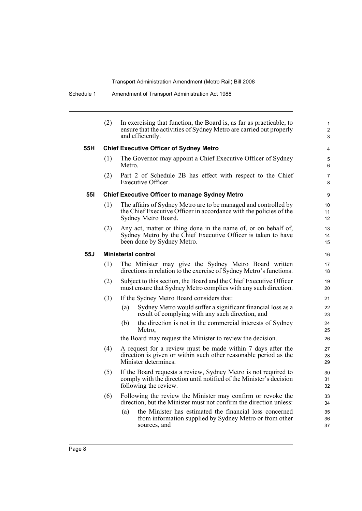|            | (2) | In exercising that function, the Board is, as far as practicable, to<br>ensure that the activities of Sydney Metro are carried out properly<br>and efficiently. | $\mathbf{1}$<br>$\overline{a}$<br>3 |
|------------|-----|-----------------------------------------------------------------------------------------------------------------------------------------------------------------|-------------------------------------|
| 55H        |     | <b>Chief Executive Officer of Sydney Metro</b>                                                                                                                  | 4                                   |
|            | (1) | The Governor may appoint a Chief Executive Officer of Sydney<br>Metro.                                                                                          | 5<br>6                              |
|            | (2) | Part 2 of Schedule 2B has effect with respect to the Chief<br>Executive Officer.                                                                                | 7<br>8                              |
| <b>551</b> |     | <b>Chief Executive Officer to manage Sydney Metro</b>                                                                                                           | 9                                   |
|            | (1) | The affairs of Sydney Metro are to be managed and controlled by<br>the Chief Executive Officer in accordance with the policies of the<br>Sydney Metro Board.    | 10<br>11<br>12 <sup>2</sup>         |
|            | (2) | Any act, matter or thing done in the name of, or on behalf of,<br>Sydney Metro by the Chief Executive Officer is taken to have<br>been done by Sydney Metro.    | 13<br>14<br>15                      |
| 55J        |     | <b>Ministerial control</b>                                                                                                                                      | 16                                  |
|            | (1) | The Minister may give the Sydney Metro Board written<br>directions in relation to the exercise of Sydney Metro's functions.                                     | 17<br>18                            |
|            | (2) | Subject to this section, the Board and the Chief Executive Officer<br>must ensure that Sydney Metro complies with any such direction.                           | 19<br>20                            |
|            | (3) | If the Sydney Metro Board considers that:                                                                                                                       | 21                                  |
|            |     | Sydney Metro would suffer a significant financial loss as a<br>(a)<br>result of complying with any such direction, and                                          | 22<br>23                            |
|            |     | the direction is not in the commercial interests of Sydney<br>(b)<br>Metro,                                                                                     | 24<br>25                            |
|            |     | the Board may request the Minister to review the decision.                                                                                                      | 26                                  |
|            | (4) | A request for a review must be made within 7 days after the<br>direction is given or within such other reasonable period as the<br>Minister determines.         | 27<br>28<br>29                      |
|            | (5) | If the Board requests a review, Sydney Metro is not required to<br>comply with the direction until notified of the Minister's decision<br>following the review. | 30<br>31<br>32                      |
|            | (6) | Following the review the Minister may confirm or revoke the<br>direction, but the Minister must not confirm the direction unless:                               | 33<br>34                            |
|            |     | the Minister has estimated the financial loss concerned<br>(a)<br>from information supplied by Sydney Metro or from other<br>sources, and                       | 35<br>36<br>37                      |
|            |     |                                                                                                                                                                 |                                     |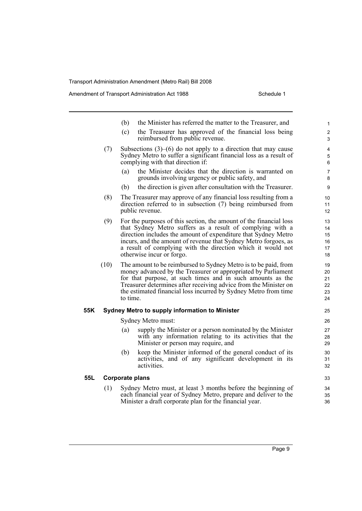Amendment of Transport Administration Act 1988 Schedule 1

|     |      | (b)             | the Minister has referred the matter to the Treasurer, and                                                                                                                                                                                                                                                                                                       | $\mathbf{1}$                     |
|-----|------|-----------------|------------------------------------------------------------------------------------------------------------------------------------------------------------------------------------------------------------------------------------------------------------------------------------------------------------------------------------------------------------------|----------------------------------|
|     |      | (c)             | the Treasurer has approved of the financial loss being<br>reimbursed from public revenue.                                                                                                                                                                                                                                                                        | $\overline{c}$<br>3              |
|     | (7)  |                 | Subsections $(3)$ – $(6)$ do not apply to a direction that may cause<br>Sydney Metro to suffer a significant financial loss as a result of<br>complying with that direction if:                                                                                                                                                                                  | 4<br>5<br>6                      |
|     |      | (a)             | the Minister decides that the direction is warranted on<br>grounds involving urgency or public safety, and                                                                                                                                                                                                                                                       | 7<br>8                           |
|     |      | (b)             | the direction is given after consultation with the Treasurer.                                                                                                                                                                                                                                                                                                    | 9                                |
|     | (8)  |                 | The Treasurer may approve of any financial loss resulting from a<br>direction referred to in subsection (7) being reimbursed from<br>public revenue.                                                                                                                                                                                                             | 10<br>11<br>12                   |
|     | (9)  |                 | For the purposes of this section, the amount of the financial loss<br>that Sydney Metro suffers as a result of complying with a<br>direction includes the amount of expenditure that Sydney Metro<br>incurs, and the amount of revenue that Sydney Metro forgoes, as<br>a result of complying with the direction which it would not<br>otherwise incur or forgo. | 13<br>14<br>15<br>16<br>17<br>18 |
|     | (10) | to time.        | The amount to be reimbursed to Sydney Metro is to be paid, from<br>money advanced by the Treasurer or appropriated by Parliament<br>for that purpose, at such times and in such amounts as the<br>Treasurer determines after receiving advice from the Minister on<br>the estimated financial loss incurred by Sydney Metro from time                            | 19<br>20<br>21<br>22<br>23<br>24 |
| 55K |      |                 | Sydney Metro to supply information to Minister                                                                                                                                                                                                                                                                                                                   | 25                               |
|     |      |                 | Sydney Metro must:                                                                                                                                                                                                                                                                                                                                               | 26                               |
|     |      | (a)             | supply the Minister or a person nominated by the Minister<br>with any information relating to its activities that the<br>Minister or person may require, and                                                                                                                                                                                                     | 27<br>28<br>29                   |
|     |      | (b)             | keep the Minister informed of the general conduct of its<br>activities, and of any significant development in its<br>activities.                                                                                                                                                                                                                                 | 30<br>31<br>32                   |
| 55L |      | Corporate plans |                                                                                                                                                                                                                                                                                                                                                                  | 33                               |

(1) Sydney Metro must, at least 3 months before the beginning of each financial year of Sydney Metro, prepare and deliver to the Minister a draft corporate plan for the financial year.

34 35 36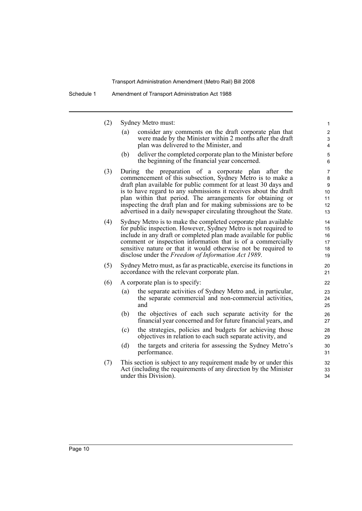| (2) | Sydney Metro must:                                                                                                                                                                                                                                                                                                                                                                                                                                              | $\mathbf{1}$                                                    |
|-----|-----------------------------------------------------------------------------------------------------------------------------------------------------------------------------------------------------------------------------------------------------------------------------------------------------------------------------------------------------------------------------------------------------------------------------------------------------------------|-----------------------------------------------------------------|
|     | consider any comments on the draft corporate plan that<br>(a)<br>were made by the Minister within 2 months after the draft<br>plan was delivered to the Minister, and                                                                                                                                                                                                                                                                                           | $\boldsymbol{2}$<br>3<br>4                                      |
|     | deliver the completed corporate plan to the Minister before<br>(b)<br>the beginning of the financial year concerned.                                                                                                                                                                                                                                                                                                                                            | 5<br>6                                                          |
| (3) | During the preparation of a corporate plan after the<br>commencement of this subsection, Sydney Metro is to make a<br>draft plan available for public comment for at least 30 days and<br>is to have regard to any submissions it receives about the draft<br>plan within that period. The arrangements for obtaining or<br>inspecting the draft plan and for making submissions are to be<br>advertised in a daily newspaper circulating throughout the State. | $\overline{7}$<br>8<br>$\boldsymbol{9}$<br>10<br>11<br>12<br>13 |
| (4) | Sydney Metro is to make the completed corporate plan available<br>for public inspection. However, Sydney Metro is not required to<br>include in any draft or completed plan made available for public<br>comment or inspection information that is of a commercially<br>sensitive nature or that it would otherwise not be required to<br>disclose under the Freedom of Information Act 1989.                                                                   | 14<br>15<br>16<br>17<br>18<br>19                                |
| (5) | Sydney Metro must, as far as practicable, exercise its functions in<br>accordance with the relevant corporate plan.                                                                                                                                                                                                                                                                                                                                             | 20<br>21                                                        |
| (6) | A corporate plan is to specify:                                                                                                                                                                                                                                                                                                                                                                                                                                 | 22                                                              |
|     | the separate activities of Sydney Metro and, in particular,<br>(a)<br>the separate commercial and non-commercial activities,<br>and                                                                                                                                                                                                                                                                                                                             | 23<br>24<br>25                                                  |
|     | the objectives of each such separate activity for the<br>(b)<br>financial year concerned and for future financial years, and                                                                                                                                                                                                                                                                                                                                    | 26<br>27                                                        |
|     | the strategies, policies and budgets for achieving those<br>(c)<br>objectives in relation to each such separate activity, and                                                                                                                                                                                                                                                                                                                                   | 28<br>29                                                        |
|     | (d)<br>the targets and criteria for assessing the Sydney Metro's<br>performance.                                                                                                                                                                                                                                                                                                                                                                                | 30<br>31                                                        |
| (7) | This section is subject to any requirement made by or under this<br>Act (including the requirements of any direction by the Minister<br>under this Division).                                                                                                                                                                                                                                                                                                   | 32<br>33<br>34                                                  |
|     |                                                                                                                                                                                                                                                                                                                                                                                                                                                                 |                                                                 |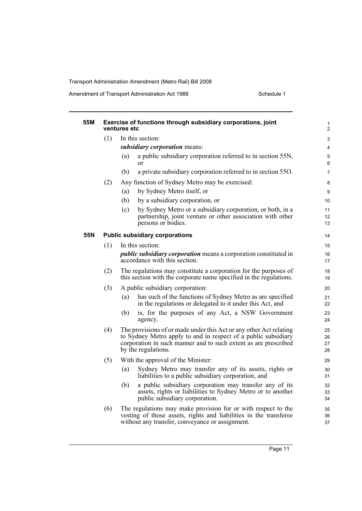Amendment of Transport Administration Act 1988 Schedule 1

| 55M |     | Exercise of functions through subsidiary corporations, joint<br>ventures etc                                                                                                                                                   | 1<br>$\overline{c}$  |
|-----|-----|--------------------------------------------------------------------------------------------------------------------------------------------------------------------------------------------------------------------------------|----------------------|
|     | (1) | In this section:                                                                                                                                                                                                               | 3                    |
|     |     | subsidiary corporation means:                                                                                                                                                                                                  | 4                    |
|     |     | a public subsidiary corporation referred to in section 55N,<br>(a)<br><sub>or</sub>                                                                                                                                            | 5<br>6               |
|     |     | a private subsidiary corporation referred to in section 550.<br>(b)                                                                                                                                                            | 7                    |
|     | (2) | Any function of Sydney Metro may be exercised:                                                                                                                                                                                 | 8                    |
|     |     | by Sydney Metro itself, or<br>(a)                                                                                                                                                                                              | 9                    |
|     |     | (b)<br>by a subsidiary corporation, or                                                                                                                                                                                         | 10                   |
|     |     | (c)<br>by Sydney Metro or a subsidiary corporation, or both, in a<br>partnership, joint venture or other association with other<br>persons or bodies.                                                                          | 11<br>12<br>13       |
| 55N |     | <b>Public subsidiary corporations</b>                                                                                                                                                                                          | 14                   |
|     | (1) | In this section:                                                                                                                                                                                                               | 15                   |
|     |     | <i>public subsidiary corporation</i> means a corporation constituted in<br>accordance with this section.                                                                                                                       | 16<br>17             |
|     | (2) | The regulations may constitute a corporation for the purposes of<br>this section with the corporate name specified in the regulations.                                                                                         | 18<br>19             |
|     | (3) | A public subsidiary corporation:                                                                                                                                                                                               | 20                   |
|     |     | has such of the functions of Sydney Metro as are specified<br>(a)<br>in the regulations or delegated to it under this Act, and                                                                                                 | 21<br>22             |
|     |     | is, for the purposes of any Act, a NSW Government<br>(b)<br>agency.                                                                                                                                                            | 23<br>24             |
|     | (4) | The provisions of or made under this Act or any other Act relating<br>to Sydney Metro apply to and in respect of a public subsidiary<br>corporation in such manner and to such extent as are prescribed<br>by the regulations. | 25<br>26<br>27<br>28 |
|     | (5) | With the approval of the Minister:                                                                                                                                                                                             | 29                   |
|     |     | Sydney Metro may transfer any of its assets, rights or<br>(a)<br>liabilities to a public subsidiary corporation, and                                                                                                           | 30<br>31             |
|     |     | a public subsidiary corporation may transfer any of its<br>(b)<br>assets, rights or liabilities to Sydney Metro or to another<br>public subsidiary corporation.                                                                | 32<br>33<br>34       |
|     | (6) | The regulations may make provision for or with respect to the<br>vesting of those assets, rights and liabilities in the transferee<br>without any transfer, conveyance or assignment.                                          | 35<br>36<br>37       |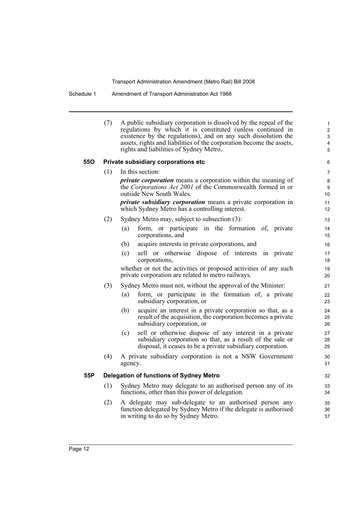Schedule 1 Amendment of Transport Administration Act 1988

|     | (7) | A public subsidiary corporation is dissolved by the repeal of the<br>regulations by which it is constituted (unless continued in<br>existence by the regulations), and on any such dissolution the<br>assets, rights and liabilities of the corporation become the assets,<br>rights and liabilities of Sydney Metro. | $\mathbf{1}$<br>$\overline{2}$<br>3<br>4<br>5 |
|-----|-----|-----------------------------------------------------------------------------------------------------------------------------------------------------------------------------------------------------------------------------------------------------------------------------------------------------------------------|-----------------------------------------------|
| 55O |     | Private subsidiary corporations etc                                                                                                                                                                                                                                                                                   | 6                                             |
|     | (1) | In this section:                                                                                                                                                                                                                                                                                                      | 7                                             |
|     |     | <i>private corporation</i> means a corporation within the meaning of<br>the Corporations Act 2001 of the Commonwealth formed in or<br>outside New South Wales.                                                                                                                                                        | 8<br>9<br>10                                  |
|     |     | <i>private subsidiary corporation</i> means a private corporation in<br>which Sydney Metro has a controlling interest.                                                                                                                                                                                                | 11<br>12                                      |
|     | (2) | Sydney Metro may, subject to subsection (3):                                                                                                                                                                                                                                                                          | 13                                            |
|     |     | form, or participate in the formation of, private<br>(a)<br>corporations, and                                                                                                                                                                                                                                         | 14<br>15                                      |
|     |     | acquire interests in private corporations, and<br>(b)                                                                                                                                                                                                                                                                 | 16                                            |
|     |     | sell or otherwise dispose of interests<br>(c)<br>in private<br>corporations,                                                                                                                                                                                                                                          | 17<br>18                                      |
|     |     | whether or not the activities or proposed activities of any such<br>private corporation are related to metro railways.                                                                                                                                                                                                | 19<br>20                                      |
|     | (3) | Sydney Metro must not, without the approval of the Minister:                                                                                                                                                                                                                                                          | 21                                            |
|     |     | form, or participate in the formation of, a private<br>(a)<br>subsidiary corporation, or                                                                                                                                                                                                                              | 22<br>23                                      |
|     |     | acquire an interest in a private corporation so that, as a<br>(b)<br>result of the acquisition, the corporation becomes a private<br>subsidiary corporation, or                                                                                                                                                       | 24<br>25<br>26                                |
|     |     | sell or otherwise dispose of any interest in a private<br>(c)<br>subsidiary corporation so that, as a result of the sale or<br>disposal, it ceases to be a private subsidiary corporation.                                                                                                                            | 27<br>28<br>29                                |
|     | (4) | A private subsidiary corporation is not a NSW Government<br>agency.                                                                                                                                                                                                                                                   | 30<br>31                                      |
| 55P |     | <b>Delegation of functions of Sydney Metro</b>                                                                                                                                                                                                                                                                        | 32                                            |
|     | (1) | Sydney Metro may delegate to an authorised person any of its<br>functions, other than this power of delegation.                                                                                                                                                                                                       | 33<br>34                                      |
|     | (2) | A delegate may sub-delegate to an authorised person any<br>function delegated by Sydney Metro if the delegate is authorised<br>in writing to do so by Sydney Metro.                                                                                                                                                   | 35<br>36<br>37                                |
|     |     |                                                                                                                                                                                                                                                                                                                       |                                               |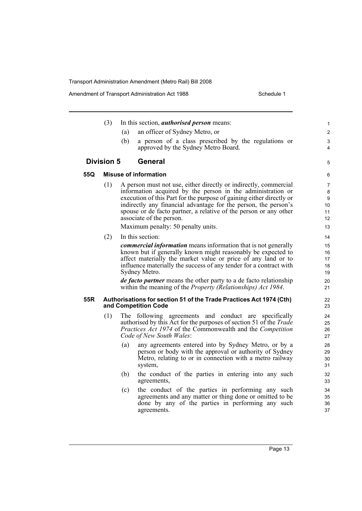Amendment of Transport Administration Act 1988 Schedule 1

(3) In this section, *authorised person* means: (a) an officer of Sydney Metro, or (b) a person of a class prescribed by the regulations or approved by the Sydney Metro Board. **Division 5 General 55Q Misuse of information** (1) A person must not use, either directly or indirectly, commercial information acquired by the person in the administration or execution of this Part for the purpose of gaining either directly or indirectly any financial advantage for the person, the person's spouse or de facto partner, a relative of the person or any other associate of the person. Maximum penalty: 50 penalty units. (2) In this section: *commercial information* means information that is not generally known but if generally known might reasonably be expected to affect materially the market value or price of any land or to influence materially the success of any tender for a contract with Sydney Metro. *de facto partner* means the other party to a de facto relationship within the meaning of the *Property (Relationships) Act 1984*. **55R Authorisations for section 51 of the Trade Practices Act 1974 (Cth) and Competition Code** (1) The following agreements and conduct are specifically authorised by this Act for the purposes of section 51 of the *Trade Practices Act 1974* of the Commonwealth and the *Competition Code of New South Wales*: (a) any agreements entered into by Sydney Metro, or by a person or body with the approval or authority of Sydney Metro, relating to or in connection with a metro railway system, (b) the conduct of the parties in entering into any such agreements, (c) the conduct of the parties in performing any such agreements and any matter or thing done or omitted to be done by any of the parties in performing any such agreements. 1 2 3 4 5 6 7  $\Omega$  $\overline{Q}$  $10$ 11 12 13 14 15 16 17 18 19 20 21 22 23 24 25 26 27 28 29  $30$ 31 32 33 34 35 36 37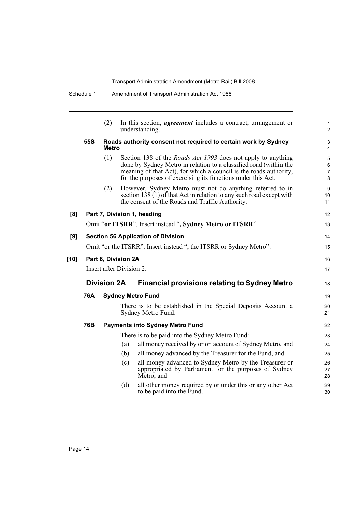|            | (2) |     |                                                                                                                               | 1<br>$\overline{2}$                                                                                                                                                                                                                                                                                                                                                                                                                                                                                                                                                                                                                                                                                                                                                                                                                                                                                                                                                                                                                                                                                                    |
|------------|-----|-----|-------------------------------------------------------------------------------------------------------------------------------|------------------------------------------------------------------------------------------------------------------------------------------------------------------------------------------------------------------------------------------------------------------------------------------------------------------------------------------------------------------------------------------------------------------------------------------------------------------------------------------------------------------------------------------------------------------------------------------------------------------------------------------------------------------------------------------------------------------------------------------------------------------------------------------------------------------------------------------------------------------------------------------------------------------------------------------------------------------------------------------------------------------------------------------------------------------------------------------------------------------------|
| 55S        |     |     |                                                                                                                               | 3<br>4                                                                                                                                                                                                                                                                                                                                                                                                                                                                                                                                                                                                                                                                                                                                                                                                                                                                                                                                                                                                                                                                                                                 |
|            | (1) |     |                                                                                                                               | 5<br>6<br>7<br>8                                                                                                                                                                                                                                                                                                                                                                                                                                                                                                                                                                                                                                                                                                                                                                                                                                                                                                                                                                                                                                                                                                       |
|            | (2) |     |                                                                                                                               | 9<br>10<br>11                                                                                                                                                                                                                                                                                                                                                                                                                                                                                                                                                                                                                                                                                                                                                                                                                                                                                                                                                                                                                                                                                                          |
|            |     |     |                                                                                                                               | 12                                                                                                                                                                                                                                                                                                                                                                                                                                                                                                                                                                                                                                                                                                                                                                                                                                                                                                                                                                                                                                                                                                                     |
|            |     |     |                                                                                                                               | 13                                                                                                                                                                                                                                                                                                                                                                                                                                                                                                                                                                                                                                                                                                                                                                                                                                                                                                                                                                                                                                                                                                                     |
|            |     |     |                                                                                                                               | 14                                                                                                                                                                                                                                                                                                                                                                                                                                                                                                                                                                                                                                                                                                                                                                                                                                                                                                                                                                                                                                                                                                                     |
|            |     |     |                                                                                                                               | 15                                                                                                                                                                                                                                                                                                                                                                                                                                                                                                                                                                                                                                                                                                                                                                                                                                                                                                                                                                                                                                                                                                                     |
|            |     |     |                                                                                                                               | 16                                                                                                                                                                                                                                                                                                                                                                                                                                                                                                                                                                                                                                                                                                                                                                                                                                                                                                                                                                                                                                                                                                                     |
|            |     |     |                                                                                                                               | 17                                                                                                                                                                                                                                                                                                                                                                                                                                                                                                                                                                                                                                                                                                                                                                                                                                                                                                                                                                                                                                                                                                                     |
|            |     |     | <b>Financial provisions relating to Sydney Metro</b>                                                                          | 18                                                                                                                                                                                                                                                                                                                                                                                                                                                                                                                                                                                                                                                                                                                                                                                                                                                                                                                                                                                                                                                                                                                     |
| <b>76A</b> |     |     |                                                                                                                               | 19                                                                                                                                                                                                                                                                                                                                                                                                                                                                                                                                                                                                                                                                                                                                                                                                                                                                                                                                                                                                                                                                                                                     |
|            |     |     |                                                                                                                               | 20<br>21                                                                                                                                                                                                                                                                                                                                                                                                                                                                                                                                                                                                                                                                                                                                                                                                                                                                                                                                                                                                                                                                                                               |
| 76B        |     |     |                                                                                                                               | 22                                                                                                                                                                                                                                                                                                                                                                                                                                                                                                                                                                                                                                                                                                                                                                                                                                                                                                                                                                                                                                                                                                                     |
|            |     |     |                                                                                                                               | 23                                                                                                                                                                                                                                                                                                                                                                                                                                                                                                                                                                                                                                                                                                                                                                                                                                                                                                                                                                                                                                                                                                                     |
|            |     | (a) | all money received by or on account of Sydney Metro, and                                                                      | 24                                                                                                                                                                                                                                                                                                                                                                                                                                                                                                                                                                                                                                                                                                                                                                                                                                                                                                                                                                                                                                                                                                                     |
|            |     | (b) | all money advanced by the Treasurer for the Fund, and                                                                         | 25                                                                                                                                                                                                                                                                                                                                                                                                                                                                                                                                                                                                                                                                                                                                                                                                                                                                                                                                                                                                                                                                                                                     |
|            |     | (c) | all money advanced to Sydney Metro by the Treasurer or<br>appropriated by Parliament for the purposes of Sydney<br>Metro, and | 26<br>27<br>28                                                                                                                                                                                                                                                                                                                                                                                                                                                                                                                                                                                                                                                                                                                                                                                                                                                                                                                                                                                                                                                                                                         |
|            |     | (d) | all other money required by or under this or any other Act<br>to be paid into the Fund.                                       | 29<br>30                                                                                                                                                                                                                                                                                                                                                                                                                                                                                                                                                                                                                                                                                                                                                                                                                                                                                                                                                                                                                                                                                                               |
|            |     |     | Metro<br><b>Division 2A</b>                                                                                                   | In this section, <i>agreement</i> includes a contract, arrangement or<br>understanding.<br>Roads authority consent not required to certain work by Sydney<br>Section 138 of the <i>Roads Act 1993</i> does not apply to anything<br>done by Sydney Metro in relation to a classified road (within the<br>meaning of that Act), for which a council is the roads authority,<br>for the purposes of exercising its functions under this Act.<br>However, Sydney Metro must not do anything referred to in<br>section 138 $(1)$ of that Act in relation to any such road except with<br>the consent of the Roads and Traffic Authority.<br>Part 7, Division 1, heading<br>Omit "or ITSRR". Insert instead ", Sydney Metro or ITSRR".<br><b>Section 56 Application of Division</b><br>Omit "or the ITSRR". Insert instead ", the ITSRR or Sydney Metro".<br>Part 8, Division 2A<br>Insert after Division 2:<br><b>Sydney Metro Fund</b><br>There is to be established in the Special Deposits Account a<br>Sydney Metro Fund.<br><b>Payments into Sydney Metro Fund</b><br>There is to be paid into the Sydney Metro Fund: |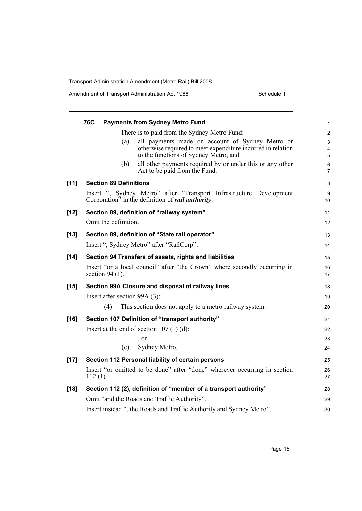| Amendment of Transport Administration Act 1988 | Schedule 1 |
|------------------------------------------------|------------|
|------------------------------------------------|------------|

|        | <b>76C</b><br><b>Payments from Sydney Metro Fund</b>                                                                             | 1                       |
|--------|----------------------------------------------------------------------------------------------------------------------------------|-------------------------|
|        | There is to paid from the Sydney Metro Fund:                                                                                     | $\overline{2}$          |
|        | all payments made on account of Sydney Metro or<br>(a)                                                                           | 3                       |
|        | otherwise required to meet expenditure incurred in relation<br>to the functions of Sydney Metro, and                             | 4<br>5                  |
|        | all other payments required by or under this or any other<br>(b)<br>Act to be paid from the Fund.                                | $\,6$<br>$\overline{7}$ |
| $[11]$ | <b>Section 89 Definitions</b>                                                                                                    | 8                       |
|        | Insert ", Sydney Metro" after "Transport Infrastructure Development<br>Corporation" in the definition of <i>rail authority</i> . | 9<br>10                 |
| $[12]$ | Section 89, definition of "railway system"                                                                                       | 11                      |
|        | Omit the definition.                                                                                                             | 12                      |
| $[13]$ | Section 89, definition of "State rail operator"                                                                                  | 13                      |
|        | Insert ", Sydney Metro" after "RailCorp".                                                                                        | 14                      |
| $[14]$ | Section 94 Transfers of assets, rights and liabilities                                                                           | 15                      |
|        | Insert "or a local council" after "the Crown" where secondly occurring in<br>section 94 $(1)$ .                                  | 16<br>17                |
| $[15]$ | Section 99A Closure and disposal of railway lines                                                                                | 18                      |
|        | Insert after section 99A (3):                                                                                                    | 19                      |
|        | (4)<br>This section does not apply to a metro railway system.                                                                    | 20                      |
| $[16]$ | Section 107 Definition of "transport authority"                                                                                  | 21                      |
|        | Insert at the end of section $107(1)(d)$ :                                                                                       | 22                      |
|        | , or                                                                                                                             | 23                      |
|        | Sydney Metro.<br>(e)                                                                                                             | 24                      |
| $[17]$ | Section 112 Personal liability of certain persons                                                                                | 25                      |
|        | Insert "or omitted to be done" after "done" wherever occurring in section<br>$112(1)$ .                                          | 26<br>27                |
| $[18]$ | Section 112 (2), definition of "member of a transport authority"                                                                 | 28                      |
|        | Omit "and the Roads and Traffic Authority".                                                                                      | 29                      |
|        | Insert instead ", the Roads and Traffic Authority and Sydney Metro".                                                             | 30                      |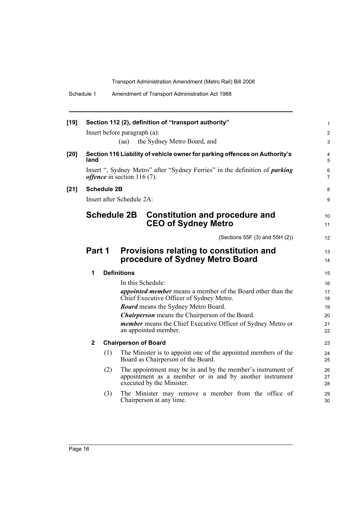| Schedule 1 | Amendment of Transport Administration Act 1988 |
|------------|------------------------------------------------|
|------------|------------------------------------------------|

| $[19]$ |              |                    |                                      | Section 112 (2), definition of "transport authority"                                                                                                | $\mathbf{1}$          |
|--------|--------------|--------------------|--------------------------------------|-----------------------------------------------------------------------------------------------------------------------------------------------------|-----------------------|
|        |              |                    | Insert before paragraph (a):         |                                                                                                                                                     | $\overline{c}$        |
|        |              |                    | (aa)                                 | the Sydney Metro Board, and                                                                                                                         | 3                     |
| $[20]$ | land         |                    |                                      | Section 116 Liability of vehicle owner for parking offences on Authority's                                                                          | 4<br>5                |
|        |              |                    | <i>offence</i> in section $116(7)$ . | Insert ", Sydney Metro" after "Sydney Ferries" in the definition of <i>parking</i>                                                                  | 6<br>$\overline{7}$   |
| $[21]$ |              | <b>Schedule 2B</b> |                                      |                                                                                                                                                     | 8                     |
|        |              |                    | Insert after Schedule 2A:            |                                                                                                                                                     | 9                     |
|        |              |                    | <b>Schedule 2B</b>                   | <b>Constitution and procedure and</b><br><b>CEO of Sydney Metro</b>                                                                                 | 10 <sup>°</sup><br>11 |
|        |              |                    |                                      | (Sections 55F (3) and 55H (2))                                                                                                                      | 12                    |
|        | Part 1       |                    |                                      | Provisions relating to constitution and<br>procedure of Sydney Metro Board                                                                          | 13<br>14              |
|        | 1            |                    | <b>Definitions</b>                   |                                                                                                                                                     | 15                    |
|        |              |                    |                                      | In this Schedule:                                                                                                                                   | 16                    |
|        |              |                    |                                      | <i>appointed member</i> means a member of the Board other than the<br>Chief Executive Officer of Sydney Metro.                                      | 17<br>18              |
|        |              |                    |                                      | <b>Board</b> means the Sydney Metro Board.                                                                                                          | 19                    |
|        |              |                    |                                      | <b>Chairperson</b> means the Chairperson of the Board.                                                                                              | 20                    |
|        |              |                    |                                      | member means the Chief Executive Officer of Sydney Metro or<br>an appointed member.                                                                 | 21<br>22              |
|        | $\mathbf{2}$ |                    | <b>Chairperson of Board</b>          |                                                                                                                                                     | 23                    |
|        |              | (1)                |                                      | The Minister is to appoint one of the appointed members of the<br>Board as Chairperson of the Board.                                                | 24<br>25              |
|        |              | (2)                |                                      | The appointment may be in and by the member's instrument of<br>appointment as a member or in and by another instrument<br>executed by the Minister. | 26<br>27<br>28        |
|        |              | (3)                |                                      | The Minister may remove a member from the office of<br>Chairperson at any time.                                                                     | 29<br>30              |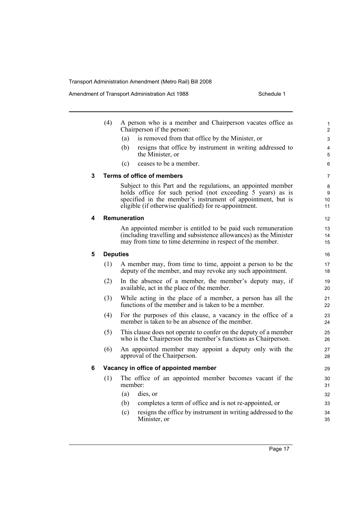Amendment of Transport Administration Act 1988 Schedule 1

|   | (4)             |              | A person who is a member and Chairperson vacates office as<br>Chairperson if the person:                                                                                                                                                            | 1<br>2             |
|---|-----------------|--------------|-----------------------------------------------------------------------------------------------------------------------------------------------------------------------------------------------------------------------------------------------------|--------------------|
|   |                 | (a)          | is removed from that office by the Minister, or                                                                                                                                                                                                     | 3                  |
|   |                 | (b)          | resigns that office by instrument in writing addressed to<br>the Minister, or                                                                                                                                                                       | 4<br>5             |
|   |                 | (c)          | ceases to be a member.                                                                                                                                                                                                                              | 6                  |
| 3 |                 |              | Terms of office of members                                                                                                                                                                                                                          | 7                  |
|   |                 |              | Subject to this Part and the regulations, an appointed member<br>holds office for such period (not exceeding 5 years) as is<br>specified in the member's instrument of appointment, but is<br>eligible (if otherwise qualified) for re-appointment. | 8<br>9<br>10<br>11 |
| 4 |                 | Remuneration |                                                                                                                                                                                                                                                     | 12                 |
|   |                 |              | An appointed member is entitled to be paid such remuneration<br>(including travelling and subsistence allowances) as the Minister<br>may from time to time determine in respect of the member.                                                      | 13<br>14<br>15     |
| 5 | <b>Deputies</b> |              |                                                                                                                                                                                                                                                     | 16                 |
|   | (1)             |              | A member may, from time to time, appoint a person to be the<br>deputy of the member, and may revoke any such appointment.                                                                                                                           | 17<br>18           |
|   | (2)             |              | In the absence of a member, the member's deputy may, if<br>available, act in the place of the member.                                                                                                                                               | 19<br>20           |
|   | (3)             |              | While acting in the place of a member, a person has all the<br>functions of the member and is taken to be a member.                                                                                                                                 | 21<br>22           |
|   | (4)             |              | For the purposes of this clause, a vacancy in the office of a<br>member is taken to be an absence of the member.                                                                                                                                    | 23<br>24           |
|   | (5)             |              | This clause does not operate to confer on the deputy of a member<br>who is the Chairperson the member's functions as Chairperson.                                                                                                                   | 25<br>26           |
|   | (6)             |              | An appointed member may appoint a deputy only with the<br>approval of the Chairperson.                                                                                                                                                              | 27<br>28           |
| 6 |                 |              | Vacancy in office of appointed member                                                                                                                                                                                                               | 29                 |
|   | (1)             | member:      | The office of an appointed member becomes vacant if the                                                                                                                                                                                             | 30<br>31           |
|   |                 | (a)          | dies, or                                                                                                                                                                                                                                            | 32                 |
|   |                 | (b)          | completes a term of office and is not re-appointed, or                                                                                                                                                                                              | 33                 |
|   |                 | (c)          | resigns the office by instrument in writing addressed to the<br>Minister, or                                                                                                                                                                        | 34<br>35           |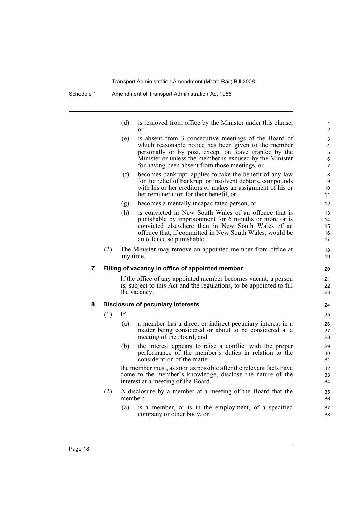|   |     | (d)       | is removed from office by the Minister under this clause,<br><sub>or</sub>                                                                                                                                                                                                           | 1<br>$\overline{c}$                |
|---|-----|-----------|--------------------------------------------------------------------------------------------------------------------------------------------------------------------------------------------------------------------------------------------------------------------------------------|------------------------------------|
|   |     | (e)       | is absent from 3 consecutive meetings of the Board of<br>which reasonable notice has been given to the member<br>personally or by post, except on leave granted by the<br>Minister or unless the member is excused by the Minister<br>for having been absent from those meetings, or | 3<br>4<br>5<br>6<br>$\overline{7}$ |
|   |     | (f)       | becomes bankrupt, applies to take the benefit of any law<br>for the relief of bankrupt or insolvent debtors, compounds<br>with his or her creditors or makes an assignment of his or<br>her remuneration for their benefit, or                                                       | 8<br>$\boldsymbol{9}$<br>10<br>11  |
|   |     | (g)       | becomes a mentally incapacitated person, or                                                                                                                                                                                                                                          | 12                                 |
|   |     | (h)       | is convicted in New South Wales of an offence that is<br>punishable by imprisonment for 6 months or more or is<br>convicted elsewhere than in New South Wales of an<br>offence that, if committed in New South Wales, would be<br>an offence so punishable.                          | 13<br>14<br>15<br>16<br>17         |
|   | (2) | any time. | The Minister may remove an appointed member from office at                                                                                                                                                                                                                           | 18<br>19                           |
| 7 |     |           | Filling of vacancy in office of appointed member                                                                                                                                                                                                                                     | 20                                 |
|   |     |           | If the office of any appointed member becomes vacant, a person<br>is, subject to this Act and the regulations, to be appointed to fill<br>the vacancy.                                                                                                                               | 21<br>22<br>23                     |
| 8 |     |           | <b>Disclosure of pecuniary interests</b>                                                                                                                                                                                                                                             | 24                                 |
|   | (1) | If:       |                                                                                                                                                                                                                                                                                      | 25                                 |
|   |     | (a)       | a member has a direct or indirect pecuniary interest in a<br>matter being considered or about to be considered at a<br>meeting of the Board, and                                                                                                                                     | 26<br>27<br>28                     |
|   |     | (b)       | the interest appears to raise a conflict with the proper<br>performance of the member's duties in relation to the<br>consideration of the matter,                                                                                                                                    | 29<br>30<br>31                     |
|   |     |           | the member must, as soon as possible after the relevant facts have<br>come to the member's knowledge, disclose the nature of the                                                                                                                                                     | 32<br>33                           |

(2) A disclosure by a member at a meeting of the Board that the member:

interest at a meeting of the Board.

(a) is a member, or is in the employment, of a specified company or other body, or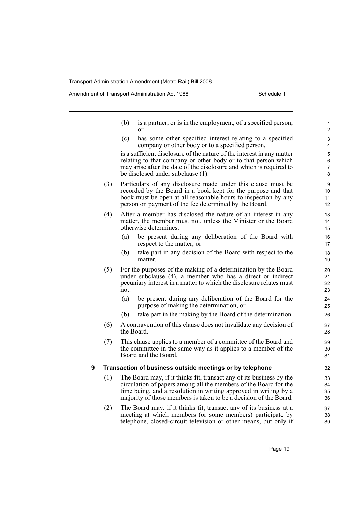Amendment of Transport Administration Act 1988 Schedule 1

|   |     | (b)  | is a partner, or is in the employment, of a specified person,<br>or                                                                                                                                                                                                               | $\mathbf{1}$<br>$\overline{2}$ |
|---|-----|------|-----------------------------------------------------------------------------------------------------------------------------------------------------------------------------------------------------------------------------------------------------------------------------------|--------------------------------|
|   |     | (c)  | has some other specified interest relating to a specified<br>company or other body or to a specified person,                                                                                                                                                                      | 3<br>4                         |
|   |     |      | is a sufficient disclosure of the nature of the interest in any matter<br>relating to that company or other body or to that person which<br>may arise after the date of the disclosure and which is required to<br>be disclosed under subclause (1).                              | 5<br>6<br>7<br>8               |
|   | (3) |      | Particulars of any disclosure made under this clause must be<br>recorded by the Board in a book kept for the purpose and that<br>book must be open at all reasonable hours to inspection by any<br>person on payment of the fee determined by the Board.                          | 9<br>10<br>11<br>12            |
|   | (4) |      | After a member has disclosed the nature of an interest in any<br>matter, the member must not, unless the Minister or the Board<br>otherwise determines:                                                                                                                           | 13<br>14<br>15                 |
|   |     | (a)  | be present during any deliberation of the Board with<br>respect to the matter, or                                                                                                                                                                                                 | 16<br>17                       |
|   |     | (b)  | take part in any decision of the Board with respect to the<br>matter.                                                                                                                                                                                                             | 18<br>19                       |
|   | (5) | not: | For the purposes of the making of a determination by the Board<br>under subclause (4), a member who has a direct or indirect<br>pecuniary interest in a matter to which the disclosure relates must                                                                               | 20<br>21<br>22<br>23           |
|   |     | (a)  | be present during any deliberation of the Board for the<br>purpose of making the determination, or                                                                                                                                                                                | 24<br>25                       |
|   |     | (b)  | take part in the making by the Board of the determination.                                                                                                                                                                                                                        | 26                             |
|   | (6) |      | A contravention of this clause does not invalidate any decision of<br>the Board.                                                                                                                                                                                                  | 27<br>28                       |
|   | (7) |      | This clause applies to a member of a committee of the Board and<br>the committee in the same way as it applies to a member of the<br>Board and the Board.                                                                                                                         | 29<br>30<br>31                 |
| 9 |     |      | Transaction of business outside meetings or by telephone                                                                                                                                                                                                                          | 32                             |
|   | (1) |      | The Board may, if it thinks fit, transact any of its business by the<br>circulation of papers among all the members of the Board for the<br>time being, and a resolution in writing approved in writing by a<br>majority of those members is taken to be a decision of the Board. | 33<br>34<br>35<br>36           |
|   | (2) |      | The Board may, if it thinks fit, transact any of its business at a                                                                                                                                                                                                                | 37                             |

meeting at which members (or some members) participate by telephone, closed-circuit television or other means, but only if 38 39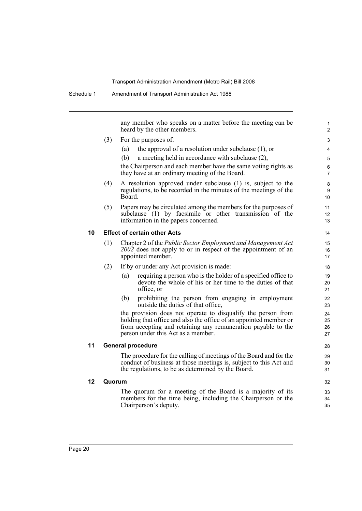any member who speaks on a matter before the meeting can be heard by the other members.

- (3) For the purposes of:
	- (a) the approval of a resolution under subclause (1), or
	- (b) a meeting held in accordance with subclause (2),

the Chairperson and each member have the same voting rights as they have at an ordinary meeting of the Board.

- (4) A resolution approved under subclause (1) is, subject to the regulations, to be recorded in the minutes of the meetings of the Board.
- (5) Papers may be circulated among the members for the purposes of subclause (1) by facsimile or other transmission of the information in the papers concerned.

#### **10 Effect of certain other Acts**

- (1) Chapter 2 of the *Public Sector Employment and Management Act 2002* does not apply to or in respect of the appointment of an appointed member.
- (2) If by or under any Act provision is made:
	- (a) requiring a person who is the holder of a specified office to devote the whole of his or her time to the duties of that office, or
	- (b) prohibiting the person from engaging in employment outside the duties of that office,

the provision does not operate to disqualify the person from holding that office and also the office of an appointed member or from accepting and retaining any remuneration payable to the person under this Act as a member.

#### **11 General procedure**

The procedure for the calling of meetings of the Board and for the conduct of business at those meetings is, subject to this Act and the regulations, to be as determined by the Board.

#### **12 Quorum**

The quorum for a meeting of the Board is a majority of its members for the time being, including the Chairperson or the Chairperson's deputy.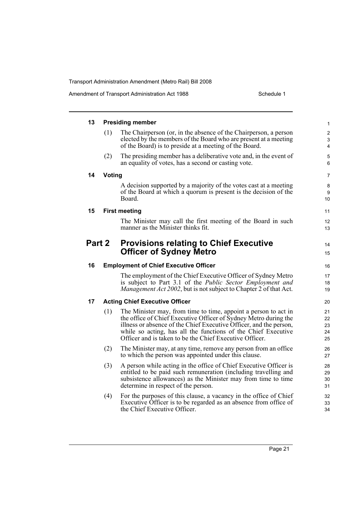| 13     |        | <b>Presiding member</b>                                                                                                                                                                                                                                                                                                               | $\mathbf{1}$               |
|--------|--------|---------------------------------------------------------------------------------------------------------------------------------------------------------------------------------------------------------------------------------------------------------------------------------------------------------------------------------------|----------------------------|
|        | (1)    | The Chairperson (or, in the absence of the Chairperson, a person<br>elected by the members of the Board who are present at a meeting<br>of the Board) is to preside at a meeting of the Board.                                                                                                                                        | 2<br>3<br>4                |
|        | (2)    | The presiding member has a deliberative vote and, in the event of<br>an equality of votes, has a second or casting vote.                                                                                                                                                                                                              | 5<br>6                     |
| 14     | Voting |                                                                                                                                                                                                                                                                                                                                       | 7                          |
|        |        | A decision supported by a majority of the votes cast at a meeting<br>of the Board at which a quorum is present is the decision of the<br>Board.                                                                                                                                                                                       | 8<br>9<br>10               |
| 15     |        | <b>First meeting</b>                                                                                                                                                                                                                                                                                                                  | 11                         |
|        |        | The Minister may call the first meeting of the Board in such<br>manner as the Minister thinks fit.                                                                                                                                                                                                                                    | 12<br>13                   |
| Part 2 |        | <b>Provisions relating to Chief Executive</b><br><b>Officer of Sydney Metro</b>                                                                                                                                                                                                                                                       | 14<br>15                   |
| 16     |        | <b>Employment of Chief Executive Officer</b>                                                                                                                                                                                                                                                                                          | 16                         |
|        |        | The employment of the Chief Executive Officer of Sydney Metro<br>is subject to Part 3.1 of the <i>Public Sector Employment and</i><br><i>Management Act 2002</i> , but is not subject to Chapter 2 of that Act.                                                                                                                       | 17<br>18<br>19             |
| 17     |        | <b>Acting Chief Executive Officer</b>                                                                                                                                                                                                                                                                                                 | 20                         |
|        | (1)    | The Minister may, from time to time, appoint a person to act in<br>the office of Chief Executive Officer of Sydney Metro during the<br>illness or absence of the Chief Executive Officer, and the person,<br>while so acting, has all the functions of the Chief Executive<br>Officer and is taken to be the Chief Executive Officer. | 21<br>22<br>23<br>24<br>25 |
|        | (2)    | The Minister may, at any time, remove any person from an office<br>to which the person was appointed under this clause.                                                                                                                                                                                                               | 26<br>27                   |
|        | (3)    | A person while acting in the office of Chief Executive Officer is<br>entitled to be paid such remuneration (including travelling and<br>subsistence allowances) as the Minister may from time to time<br>determine in respect of the person.                                                                                          | 28<br>29<br>30<br>31       |
|        | (4)    | For the purposes of this clause, a vacancy in the office of Chief<br>Executive Officer is to be regarded as an absence from office of<br>the Chief Executive Officer.                                                                                                                                                                 | 32<br>33<br>34             |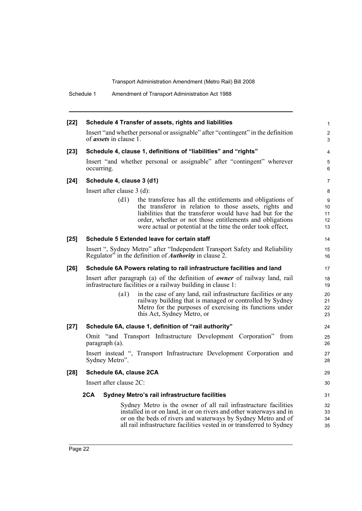| $[22]$ | Schedule 4 Transfer of assets, rights and liabilities                                                                                                                                                                                                                                                                 | $\mathbf{1}$              |
|--------|-----------------------------------------------------------------------------------------------------------------------------------------------------------------------------------------------------------------------------------------------------------------------------------------------------------------------|---------------------------|
|        | Insert "and whether personal or assignable" after "contingent" in the definition<br>of <i>assets</i> in clause 1.                                                                                                                                                                                                     | $\overline{2}$<br>3       |
| $[23]$ | Schedule 4, clause 1, definitions of "liabilities" and "rights"                                                                                                                                                                                                                                                       | $\overline{4}$            |
|        | Insert "and whether personal or assignable" after "contingent" wherever<br>occurring.                                                                                                                                                                                                                                 | 5<br>6                    |
| $[24]$ | Schedule 4, clause 3 (d1)                                                                                                                                                                                                                                                                                             | $\overline{7}$            |
|        | Insert after clause $3$ (d):                                                                                                                                                                                                                                                                                          | 8                         |
|        | (d1)<br>the transferee has all the entitlements and obligations of<br>the transferor in relation to those assets, rights and<br>liabilities that the transferor would have had but for the<br>order, whether or not those entitlements and obligations<br>were actual or potential at the time the order took effect, | 9<br>10<br>11<br>12<br>13 |
| $[25]$ | Schedule 5 Extended leave for certain staff                                                                                                                                                                                                                                                                           | 14                        |
|        | Insert ", Sydney Metro" after "Independent Transport Safety and Reliability<br>Regulator" in the definition of <i>Authority</i> in clause 2.                                                                                                                                                                          | 15<br>16                  |
| $[26]$ | Schedule 6A Powers relating to rail infrastructure facilities and land                                                                                                                                                                                                                                                | 17                        |
|        | Insert after paragraph (a) of the definition of <b><i>owner</i></b> of railway land, rail<br>infrastructure facilities or a railway building in clause 1:                                                                                                                                                             | 18<br>19                  |
|        | in the case of any land, rail infrastructure facilities or any<br>$\left( a1\right)$<br>railway building that is managed or controlled by Sydney<br>Metro for the purposes of exercising its functions under<br>this Act, Sydney Metro, or                                                                            | 20<br>21<br>22<br>23      |
| $[27]$ | Schedule 6A, clause 1, definition of "rail authority"                                                                                                                                                                                                                                                                 | 24                        |
|        | Omit "and Transport Infrastructure Development Corporation" from<br>paragraph (a).                                                                                                                                                                                                                                    | 25<br>26                  |
|        | Insert instead ", Transport Infrastructure Development Corporation and<br>Sydney Metro".                                                                                                                                                                                                                              | 27<br>28                  |
| $[28]$ | Schedule 6A, clause 2CA                                                                                                                                                                                                                                                                                               | 29                        |
|        | Insert after clause 2C:                                                                                                                                                                                                                                                                                               | 30                        |
|        | 2CA<br>Sydney Metro's rail infrastructure facilities                                                                                                                                                                                                                                                                  | 31                        |
|        | Sydney Metro is the owner of all rail infrastructure facilities<br>installed in or on land, in or on rivers and other waterways and in<br>or on the beds of rivers and waterways by Sydney Metro and of<br>all rail infrastructure facilities vested in or transferred to Sydney                                      | 32<br>33<br>34<br>35      |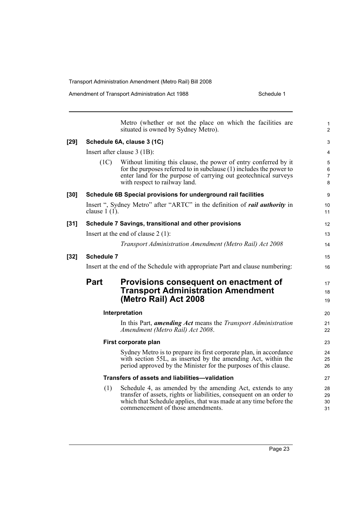|      |                 | Metro (whether or not the place on which the facilities are<br>situated is owned by Sydney Metro).                                                                                                                                            | 1<br>$\overline{\mathbf{c}}$  |
|------|-----------------|-----------------------------------------------------------------------------------------------------------------------------------------------------------------------------------------------------------------------------------------------|-------------------------------|
| [29] |                 | Schedule 6A, clause 3 (1C)                                                                                                                                                                                                                    | 3                             |
|      |                 | Insert after clause 3 (1B):                                                                                                                                                                                                                   | 4                             |
|      | (1C)            | Without limiting this clause, the power of entry conferred by it<br>for the purposes referred to in subclause $(1)$ includes the power to<br>enter land for the purpose of carrying out geotechnical surveys<br>with respect to railway land. | 5<br>6<br>$\overline{7}$<br>8 |
| [30] |                 | Schedule 6B Special provisions for underground rail facilities                                                                                                                                                                                | 9                             |
|      | clause $1(1)$ . | Insert ", Sydney Metro" after "ARTC" in the definition of <i>rail authority</i> in                                                                                                                                                            | 10<br>11                      |
| [31] |                 | Schedule 7 Savings, transitional and other provisions                                                                                                                                                                                         | 12                            |
|      |                 | Insert at the end of clause $2(1)$ :                                                                                                                                                                                                          | 13                            |
|      |                 | Transport Administration Amendment (Metro Rail) Act 2008                                                                                                                                                                                      | 14                            |
| [32] | Schedule 7      |                                                                                                                                                                                                                                               | 15                            |
|      |                 | Insert at the end of the Schedule with appropriate Part and clause numbering:                                                                                                                                                                 | 16                            |
|      | <b>Part</b>     | Provisions consequent on enactment of<br><b>Transport Administration Amendment</b><br>(Metro Rail) Act 2008                                                                                                                                   | 17<br>18<br>19                |
|      |                 | Interpretation                                                                                                                                                                                                                                | 20                            |
|      |                 | In this Part, <i>amending Act</i> means the <i>Transport Administration</i><br>Amendment (Metro Rail) Act 2008.                                                                                                                               | 21<br>22                      |
|      |                 | First corporate plan                                                                                                                                                                                                                          | 23                            |
|      |                 | Sydney Metro is to prepare its first corporate plan, in accordance<br>with section 55L, as inserted by the amending Act, within the<br>period approved by the Minister for the purposes of this clause.                                       | 24<br>25<br>26                |
|      |                 | Transfers of assets and liabilities-validation                                                                                                                                                                                                | 27                            |
|      | (1)             | Schedule 4, as amended by the amending Act, extends to any<br>transfer of assets, rights or liabilities, consequent on an order to<br>which that Schedule applies, that was made at any time before the<br>commencement of those amendments.  | 28<br>29<br>30<br>31          |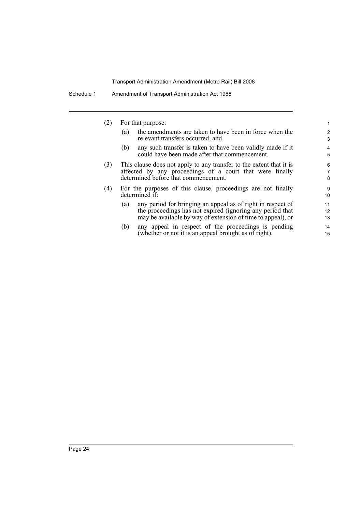| (2) | For that purpose:                                                                                                                                                                              | 1                   |
|-----|------------------------------------------------------------------------------------------------------------------------------------------------------------------------------------------------|---------------------|
|     | the amendments are taken to have been in force when the<br>(a)<br>relevant transfers occurred, and                                                                                             | $\overline{2}$<br>3 |
|     | any such transfer is taken to have been validly made if it<br>(b)<br>could have been made after that commencement.                                                                             | $\overline{4}$<br>5 |
| (3) | This clause does not apply to any transfer to the extent that it is<br>affected by any proceedings of a court that were finally<br>determined before that commencement.                        | 6<br>7<br>8         |
| (4) | For the purposes of this clause, proceedings are not finally<br>determined if:                                                                                                                 | 9<br>10             |
|     | any period for bringing an appeal as of right in respect of<br>(a)<br>the proceedings has not expired (ignoring any period that<br>may be available by way of extension of time to appeal), or | 11<br>12<br>13      |
|     | any appeal in respect of the proceedings is pending<br>(b)                                                                                                                                     | 14                  |

(b) any appeal in respect of the proceedings is pending (whether or not it is an appeal brought as of right).

15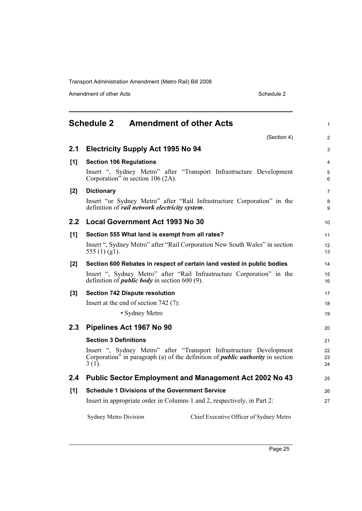Amendment of other Acts Schedule 2

<span id="page-32-0"></span>

|       | <b>Schedule 2</b><br><b>Amendment of other Acts</b>                                                                                                                      |                                         | $\mathbf{1}$   |
|-------|--------------------------------------------------------------------------------------------------------------------------------------------------------------------------|-----------------------------------------|----------------|
|       |                                                                                                                                                                          | (Section 4)                             | $\overline{2}$ |
| 2.1   | <b>Electricity Supply Act 1995 No 94</b>                                                                                                                                 |                                         | 3              |
| [1]   | <b>Section 106 Regulations</b>                                                                                                                                           |                                         | 4              |
|       | Insert ", Sydney Metro" after "Transport Infrastructure Development<br>Corporation" in section 106 $(2A)$ .                                                              |                                         | 5<br>6         |
| $[2]$ | <b>Dictionary</b>                                                                                                                                                        |                                         | $\overline{7}$ |
|       | Insert "or Sydney Metro" after "Rail Infrastructure Corporation" in the<br>definition of rail network electricity system.                                                |                                         | 8<br>9         |
| 2.2   | <b>Local Government Act 1993 No 30</b>                                                                                                                                   |                                         | 10             |
| [1]   | Section 555 What land is exempt from all rates?                                                                                                                          |                                         | 11             |
|       | Insert ", Sydney Metro" after "Rail Corporation New South Wales" in section<br>555 $(1)$ $(g1)$ .                                                                        |                                         | 12<br>13       |
| [2]   | Section 600 Rebates in respect of certain land vested in public bodies                                                                                                   |                                         | 14             |
|       | Insert ", Sydney Metro" after "Rail Infrastructure Corporation" in the<br>definition of <i>public body</i> in section 600 (9).                                           |                                         | 15<br>16       |
| $[3]$ | <b>Section 742 Dispute resolution</b>                                                                                                                                    |                                         | 17             |
|       | Insert at the end of section $742(7)$ :                                                                                                                                  |                                         | 18             |
|       | • Sydney Metro                                                                                                                                                           |                                         | 19             |
| 2.3   | Pipelines Act 1967 No 90                                                                                                                                                 |                                         | 20             |
|       | <b>Section 3 Definitions</b>                                                                                                                                             |                                         | 21             |
|       | Insert ", Sydney Metro" after "Transport Infrastructure Development<br>Corporation" in paragraph (a) of the definition of <i>public authority</i> in section<br>$3(1)$ . |                                         | 22<br>23<br>24 |
| 2.4   | <b>Public Sector Employment and Management Act 2002 No 43</b>                                                                                                            |                                         | 25             |
| [1]   | <b>Schedule 1 Divisions of the Government Service</b>                                                                                                                    |                                         | 26             |
|       | Insert in appropriate order in Columns 1 and 2, respectively, in Part 2:                                                                                                 |                                         | 27             |
|       | <b>Sydney Metro Division</b>                                                                                                                                             | Chief Executive Officer of Sydney Metro |                |